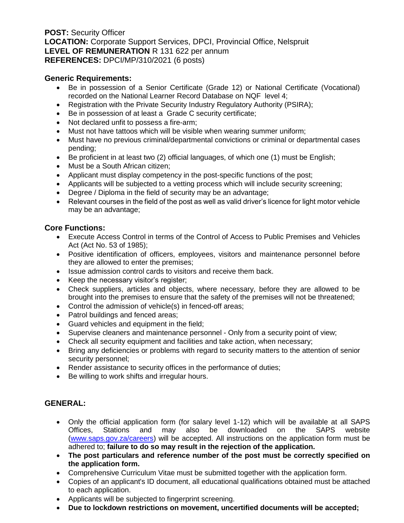**POST:** Security Officer **LOCATION:** Corporate Support Services, DPCI, Provincial Office, Nelspruit **LEVEL OF REMUNERATION** R 131 622 per annum **REFERENCES:** DPCI/MP/310/2021 (6 posts)

### **Generic Requirements:**

- Be in possession of a Senior Certificate (Grade 12) or National Certificate (Vocational) recorded on the National Learner Record Database on NQF level 4;
- Registration with the Private Security Industry Regulatory Authority (PSIRA);
- Be in possession of at least a Grade C security certificate;
- Not declared unfit to possess a fire-arm;
- Must not have tattoos which will be visible when wearing summer uniform;
- Must have no previous criminal/departmental convictions or criminal or departmental cases pending;
- Be proficient in at least two (2) official languages, of which one (1) must be English;
- Must be a South African citizen;
- Applicant must display competency in the post-specific functions of the post;
- Applicants will be subjected to a vetting process which will include security screening;
- Degree / Diploma in the field of security may be an advantage;
- Relevant courses in the field of the post as well as valid driver's licence for light motor vehicle may be an advantage;

## **Core Functions:**

- Execute Access Control in terms of the Control of Access to Public Premises and Vehicles Act (Act No. 53 of 1985);
- Positive identification of officers, employees, visitors and maintenance personnel before they are allowed to enter the premises;
- Issue admission control cards to visitors and receive them back.
- Keep the necessary visitor's register;
- Check suppliers, articles and objects, where necessary, before they are allowed to be brought into the premises to ensure that the safety of the premises will not be threatened;
- Control the admission of vehicle(s) in fenced-off areas;
- Patrol buildings and fenced areas;
- Guard vehicles and equipment in the field;
- Supervise cleaners and maintenance personnel Only from a security point of view;
- Check all security equipment and facilities and take action, when necessary;
- Bring any deficiencies or problems with regard to security matters to the attention of senior security personnel;
- Render assistance to security offices in the performance of duties;
- Be willing to work shifts and irregular hours.

# **GENERAL:**

- Only the official application form (for salary level 1-12) which will be available at all SAPS Offices, Stations and may also be downloaded on the SAPS website [\(www.saps.gov.za/careers\)](http://www.saps.gov.za/careers) will be accepted. All instructions on the application form must be adhered to; **failure to do so may result in the rejection of the application.**
- **The post particulars and reference number of the post must be correctly specified on the application form.**
- Comprehensive Curriculum Vitae must be submitted together with the application form.
- Copies of an applicant's ID document, all educational qualifications obtained must be attached to each application.
- Applicants will be subjected to fingerprint screening.
- **Due to lockdown restrictions on movement, uncertified documents will be accepted;**